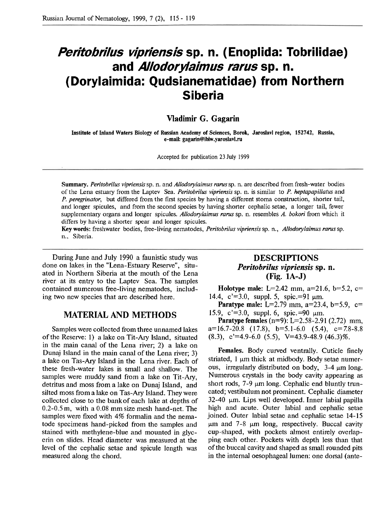# **Peritobrilus vipriensis sp. n. (Enoplida: Tobrilidae)**  and *Allodorylaimus rarus* sp. n.<br>**(Dorylaimida: Qudsianematidae) from Northern**) **Siberia**

**Vladimir G. Gagarin** 

**Institute of Lnland Waters Biology of Russian Academy of Sciences, Borok, Jaroslavl region, 152742, Russia, e-mail: gagarin@ibiw.yaroslavl.ru** 

Accepted for publication 23 July 1999

Summary. Peritobrilus vipriensis sp. n. and *Allodorylaimus rarus* sp. n. are described from fresh-water bodies of the Lena estuary from the Laptev Sea. Peritobrilus vipriensis sp. n. is similar to P. heptapapillatus and P. peregrinator, but differed from the first species by having a different stoma construction, shorter tail, and longer spicules, and from the second species by having shorter cephalic setae, a longer tail, fewer supplementary organs and longer spicules. Allodorylaimus rarus sp. n. resembles A. bokori from which it differs by having a shorter spear and longer spicules.

**Key words:** freshwater bodies, free-living nematodes, Peritobrilus vipriensis sp. n., Allodorylaimus rams sp. n.. Siberia.

During June and July 1990 a faunistic study was done on lakes in the "Lena-Estuary Reserve", situated in Northern Siberia at the mouth of the Lena river at its entry to the Laptev Sea. The samples contained numerous free-living nematodes, including two new species that are described here.

### **MATERIAL AND METHODS**

Samples were collected from three unnamed lakes of the Reserve: 1) a lake on Tit-Ary Island, situated in the main canal of the Lena river; 2) a lake on Dunaj Island in the main canal of the Lena river; **3)**  a lake on Tas-Ary Island in the Lena river. Each of these fresh-water lakes is small and shallow. The samples were muddy sand from a lake on Tit-Ary, detritus and moss from a lake on Dunaj Island, and silted moss from a lake on Tas-Ary Island. They were collected close to the bankof each lake at depths of 0.2-0.5 m, with a 0.08 mm size mesh hand-net. The samples were fixed with 4% formalin and the nematode specimens hand-picked from the samples and stained with methylene-blue and mounted in glycerin on slides. Head diameter was measured at the level of the cephalic setae and spicule length was measured along the chord.

## **DESCRIPTIONS**  *Peritobrilus vipriensis sp. n.* **(Fig. 1A-J)**

**Holotype male:** L=2.42 mm, a=21.6, b=5.2, c= 14.4,  $c' = 3.0$ , suppl. 5, spic.=91  $\mu$ m.

**Paratype male:** L=2.79 mm, a=23.4, b=5.9, c= 15.9, c'=3.0, suppl. 6, spic.=90  $\mu$ m.

**Paratype females**  $(n=9)$ **: L=2.58-2.91 (2.72) mm,**  $a=16.7-20.8$  (17.8),  $b=5.1-6.0$  (5.4),  $c=7.8-8.8$  $(8.3), c'=4.9-6.0 (5.5), V=43.9-48.9 (46.3)\%$ .

**Females.** Body curved ventrally. Cuticle finely striated,  $1 \mu m$  thick at midbody. Body setae numerous, irregularly distributed on body,  $3-4 \mu m$  long. Numerous crystals in the body cavity appearing as short rods,  $7-9 \mu m$  long. Cephalic end bluntly truncated; vestibulum not prominent. Cephalic diameter  $32-40$  µm. Lips well developed. Inner labial papilla high and acute. Outer labial and cephalic setae joined. Outer labial setae and cephalic setae 14-15  $\mu$ m and 7-8  $\mu$ m long, respectively. Buccal cavity cup-shaped, with pockets almost entirely overlapping each other. Pockets with depth less than that of the buccal cavity and shaped as small rounded pits in the internal oesophageal lumen: one dorsal (ante-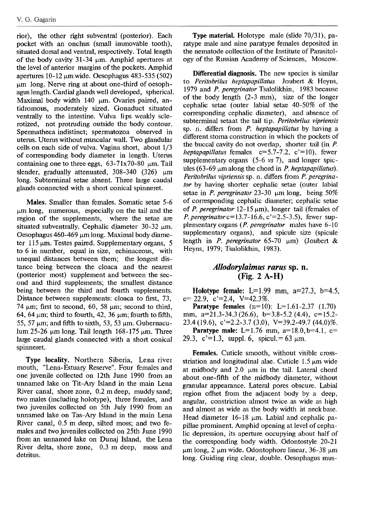rior), the other right subventral (posterior). Each pocket with an onchus (small immovable tooth), situated dorsal and ventral, respectively. Total length of the body cavity 31-34  $\mu$ m. Amphid apertures at the level of anterior margins of the pockets. Amphid apertures 10-12  $\mu$ m wide. Oesophagus 483-535 (502) um long. Nerve ring at about one-third of oesophagus length. Cardial glands well developed, spherical. Maximal body width 140 µm. Ovaries paired, antidromous, moderately sized. Gonaduct situated ventrally to the intestine. Vulva lips weakly sclerotized, not protruding outside the body contour. Spermatheca indistinct; spermatozoa observed in uterus. Uterus without muscular wall. Two glandular cells on each side of vulva. Vagina short, about 1/3 of corresponding body diameter in length. Uterus containing one to three eggs,  $63-71x70-80 \mu m$ . Tail slender, gradually attenuated,  $308-340$  (326)  $\mu$ m long. Subterminal setae absent. Three large caudal glands connected with a short conical spinneret.

**Males.** Smaller than females. Somatic setae 5-6 um long, numerous, especially on the tail and the region of the supplements, where the setae are situated subventrally. Cephalic diameter  $30-32 \mu m$ . Oesophagus 460-469  $\mu$ m long. Maximal body diameter  $115 \mu m$ . Testes paired. Supplementary organs, 5 to 6 in number, equal in size, echinaceous, with unequal distances between them; the longest distance being between the cloaca and the nearest (posterior most) supplement and between the second and third supplements; the smallest distance being between the third and fourth supplements. Distance between supplements: cloaca to first, 73, 74  $\mu$ m; first to second, 60, 58  $\mu$ m; second to third, 64, 64  $\mu$ m; third to fourth, 42, 36  $\mu$ m; fourth to fifth, 55, 57  $\mu$ m; and fifth to sixth, 53, 53  $\mu$ m. Gubernaculum 25-26  $\mu$ m long. Tail length 168-175  $\mu$ m. Three large caudal glands connected with a short conical spinneret.

**Type locality.** Northern Siberia, Lena river mouth, "Lena-Estuary Reserve". Four females and one juvenile collected on 12th June 1990 from an unnamed lake on Tit-Ary Island in the main Lena River canal, shore zone, 0.2 m deep, muddy sand; two males (including holotype), three females, and two juveniles collected on 5th July 1990 from an unnamed lake on Tas-Ary Island in the main Lena River canal, 0.5 m deep, silted moss; and two females and two juveniles collected on 25th June 1990 from an unnamed lake on Dunaj Island, the Lena River delta, shore zone, 0.3 m deep, moss and detritus.

**Type material.** Holotype male (slide 70/31), paratype male and nine paratype females deposited in the nematode collection of the Institute of Parasitology of the Russian Academy of Sciences, Moscow.

**Differential diagnosis.** The new species is similar to Peritobrilus heptapapillatus Joubert & Heyns, 1979 and *P. peregrinator* Tsalolikhin, 1983 because of the body length (2-3 mm), size of the longer cephalic setae (outer labial setae 40-50% of the corresponding cephalic diameter), and absence of subterminal setaat the tail tip. Peritobrilus vipriensis sp. n. differs from P. *heptapapillatus* by having a different stoma construction in which the pockets of the buccal cavity do not overlap, shorter tail (in P. heptapapillatus females  $c=5.7-7.2$ ,  $c'=10$ ), fewer supplementary organs (5-6 vs 7), and longer spicules (63-69  $\mu$ m along the chord in *P. heptapapillatus*). Peritobrilus vigriensis sp. n. differs from P. peregrinator by having shorter cephalic setae (outer labial setae in *P. peregrinator* 23-30  $\mu$ m long, being 50% of corresponding cephalic diameter; cephalic setae of P. peregrinator  $12-15 \mu m$ ), longer tail (females of P. **peregrinatorc=13.7-16.6,** c'=2.5-3.5), fewer supplementary organs (*P. peregrinator* males have 6-10 supplementary organs), and spicule size (spicule length in P. peregrinator 65-70  $\mu$ m) (Joubert & Heyns, 1979; Tsalolikhin, 1983).

## *Allodorylaimus rarus sp. n.*  **(Fig. 2 A-H)**

**Holotype female:** L=1.99 mm, a=27.3, b=4.5,  $c= 22.9$ ,  $c'=2.4$ ,  $V=42.3\%$ .

**Paratype females**  $(n=10)$ : L=1.61-2.37 (1.70) mm, a=21.3-34.3 (26.6), b=3.8-5.2 (4.4), c=15.2- $23.4(19.6), c'=2.2-3.7(3.0), V=39.2-49.7(44.0)\%$ . **Paratype male:** L=1.76 mm, a=18.0, b=4.1, c= 29.3, c'=1.3, suppl. 6, spicul. = 63  $\mu$ m.

**Females.** Cuticle smooth, without visible crossstriation and longitudinal alae. Cuticle  $1.5 \mu m$  wide at midbody and  $2.0 \mu m$  in the tail. Lateral chord about one-fifth of the midbody diameter, without granular appearance. Lateral pores obscure. Labial region offset from the adjacent body by a deep, angular, constriction almost twice as wide as high and almost as wide as the body width at neck base. Head diameter  $16-18$  µm. Labial and cephalic papillae prominent. Arnphid opening at level of cephalic depression, its aperture occupying about half of the corresponding body width. Odontostyle 20-21  $\mu$ m long, 2  $\mu$ m wide. Odontophore linear, 36-38  $\mu$ m long. Guiding ring clear, double. Oesophagus mus-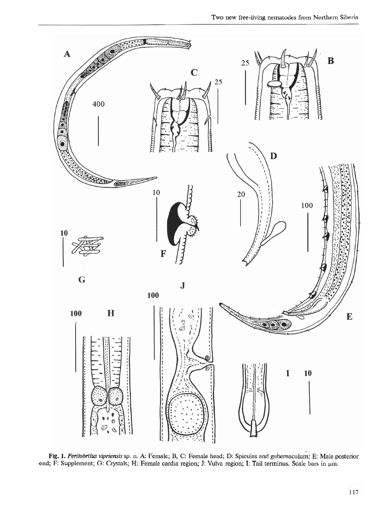

Fig. 1. Peritobrilus vipriensis sp. n. A: Female; B, C: Female head; D: Spicules and gubernaculum; E: Male posterior end; F: Supplement; G: Crystals; H: Female cardia region; J: Vulva region; I: Tail terminus. Scale bars in  $\mu$ m.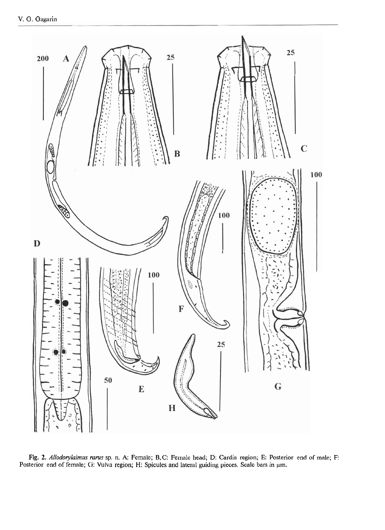

**Fig. 2.** *Allodorylaimus rams* sp. n. A: Female; B,C: Female head; D: Cardia region; E: Posterior end of male; F: Posterior end of female; G: Vulva region; H: Spicules and lateral guiding pieces. Scale bars in  $\mu$ m.